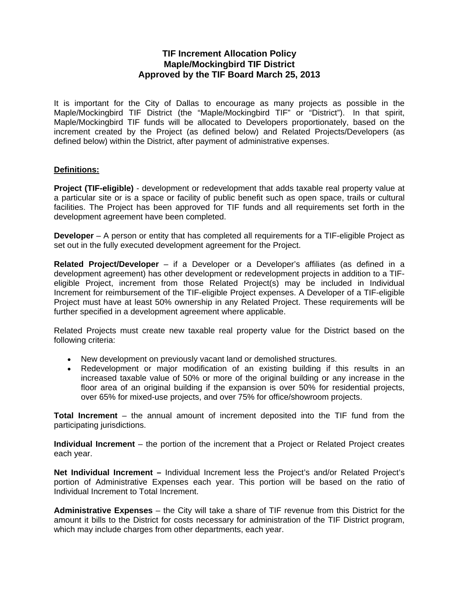# **TIF Increment Allocation Policy Maple/Mockingbird TIF District Approved by the TIF Board March 25, 2013**

It is important for the City of Dallas to encourage as many projects as possible in the Maple/Mockingbird TIF District (the "Maple/Mockingbird TIF" or "District"). In that spirit, Maple/Mockingbird TIF funds will be allocated to Developers proportionately, based on the increment created by the Project (as defined below) and Related Projects/Developers (as defined below) within the District, after payment of administrative expenses.

## **Definitions:**

**Project (TIF-eligible)** - development or redevelopment that adds taxable real property value at a particular site or is a space or facility of public benefit such as open space, trails or cultural facilities. The Project has been approved for TIF funds and all requirements set forth in the development agreement have been completed.

**Developer** – A person or entity that has completed all requirements for a TIF-eligible Project as set out in the fully executed development agreement for the Project.

**Related Project/Developer** – if a Developer or a Developer's affiliates (as defined in a development agreement) has other development or redevelopment projects in addition to a TIFeligible Project, increment from those Related Project(s) may be included in Individual Increment for reimbursement of the TIF-eligible Project expenses. A Developer of a TIF-eligible Project must have at least 50% ownership in any Related Project. These requirements will be further specified in a development agreement where applicable.

Related Projects must create new taxable real property value for the District based on the following criteria:

- New development on previously vacant land or demolished structures.
- Redevelopment or major modification of an existing building if this results in an increased taxable value of 50% or more of the original building or any increase in the floor area of an original building if the expansion is over 50% for residential projects, over 65% for mixed-use projects, and over 75% for office/showroom projects.

**Total Increment** – the annual amount of increment deposited into the TIF fund from the participating jurisdictions.

**Individual Increment** – the portion of the increment that a Project or Related Project creates each year.

**Net Individual Increment –** Individual Increment less the Project's and/or Related Project's portion of Administrative Expenses each year. This portion will be based on the ratio of Individual Increment to Total Increment.

**Administrative Expenses** – the City will take a share of TIF revenue from this District for the amount it bills to the District for costs necessary for administration of the TIF District program, which may include charges from other departments, each year.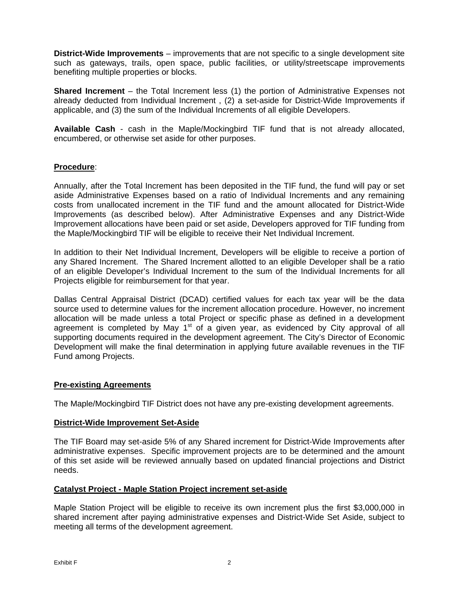**District-Wide Improvements** – improvements that are not specific to a single development site such as gateways, trails, open space, public facilities, or utility/streetscape improvements benefiting multiple properties or blocks.

**Shared Increment** – the Total Increment less (1) the portion of Administrative Expenses not already deducted from Individual Increment , (2) a set-aside for District-Wide Improvements if applicable, and (3) the sum of the Individual Increments of all eligible Developers.

**Available Cash** - cash in the Maple/Mockingbird TIF fund that is not already allocated, encumbered, or otherwise set aside for other purposes.

## **Procedure**:

Annually, after the Total Increment has been deposited in the TIF fund, the fund will pay or set aside Administrative Expenses based on a ratio of Individual Increments and any remaining costs from unallocated increment in the TIF fund and the amount allocated for District-Wide Improvements (as described below). After Administrative Expenses and any District-Wide Improvement allocations have been paid or set aside, Developers approved for TIF funding from the Maple/Mockingbird TIF will be eligible to receive their Net Individual Increment.

In addition to their Net Individual Increment, Developers will be eligible to receive a portion of any Shared Increment. The Shared Increment allotted to an eligible Developer shall be a ratio of an eligible Developer's Individual Increment to the sum of the Individual Increments for all Projects eligible for reimbursement for that year.

Dallas Central Appraisal District (DCAD) certified values for each tax year will be the data source used to determine values for the increment allocation procedure. However, no increment allocation will be made unless a total Project or specific phase as defined in a development agreement is completed by May  $1<sup>st</sup>$  of a given year, as evidenced by City approval of all supporting documents required in the development agreement. The City's Director of Economic Development will make the final determination in applying future available revenues in the TIF Fund among Projects.

## **Pre-existing Agreements**

The Maple/Mockingbird TIF District does not have any pre-existing development agreements.

#### **District-Wide Improvement Set-Aside**

The TIF Board may set-aside 5% of any Shared increment for District-Wide Improvements after administrative expenses. Specific improvement projects are to be determined and the amount of this set aside will be reviewed annually based on updated financial projections and District needs.

#### **Catalyst Project - Maple Station Project increment set-aside**

Maple Station Project will be eligible to receive its own increment plus the first \$3,000,000 in shared increment after paying administrative expenses and District-Wide Set Aside, subject to meeting all terms of the development agreement.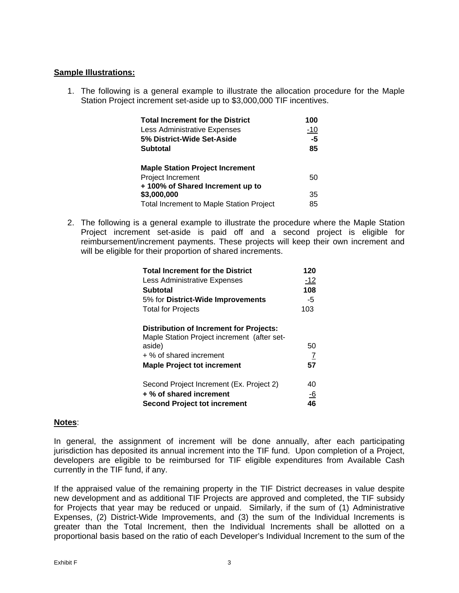### **Sample Illustrations:**

1. The following is a general example to illustrate the allocation procedure for the Maple Station Project increment set-aside up to \$3,000,000 TIF incentives.

| <b>Total Increment for the District</b>         | 100   |
|-------------------------------------------------|-------|
| Less Administrative Expenses                    | $-10$ |
| 5% District-Wide Set-Aside                      | $-5$  |
| <b>Subtotal</b>                                 | 85    |
| <b>Maple Station Project Increment</b>          |       |
| Project Increment                               | 50    |
| +100% of Shared Increment up to                 |       |
| \$3,000,000                                     | 35    |
| <b>Total Increment to Maple Station Project</b> | 85    |

2. The following is a general example to illustrate the procedure where the Maple Station Project increment set-aside is paid off and a second project is eligible for reimbursement/increment payments. These projects will keep their own increment and will be eligible for their proportion of shared increments.

| <b>Total Increment for the District</b>                                                       | 120       |
|-----------------------------------------------------------------------------------------------|-----------|
| Less Administrative Expenses                                                                  | $-12$     |
| Subtotal                                                                                      | 108       |
| 5% for District-Wide Improvements                                                             | -5        |
| <b>Total for Projects</b>                                                                     | 103       |
| <b>Distribution of Increment for Projects:</b><br>Maple Station Project increment (after set- |           |
| aside)                                                                                        | 50        |
| + % of shared increment                                                                       | 7         |
| <b>Maple Project tot increment</b>                                                            | 57        |
| Second Project Increment (Ex. Project 2)                                                      | 40        |
| + % of shared increment                                                                       | <u>-6</u> |
| <b>Second Project tot increment</b>                                                           | 46        |

## **Notes**:

In general, the assignment of increment will be done annually, after each participating jurisdiction has deposited its annual increment into the TIF fund. Upon completion of a Project, developers are eligible to be reimbursed for TIF eligible expenditures from Available Cash currently in the TIF fund, if any.

If the appraised value of the remaining property in the TIF District decreases in value despite new development and as additional TIF Projects are approved and completed, the TIF subsidy for Projects that year may be reduced or unpaid. Similarly, if the sum of (1) Administrative Expenses, (2) District-Wide Improvements, and (3) the sum of the Individual Increments is greater than the Total Increment, then the Individual Increments shall be allotted on a proportional basis based on the ratio of each Developer's Individual Increment to the sum of the